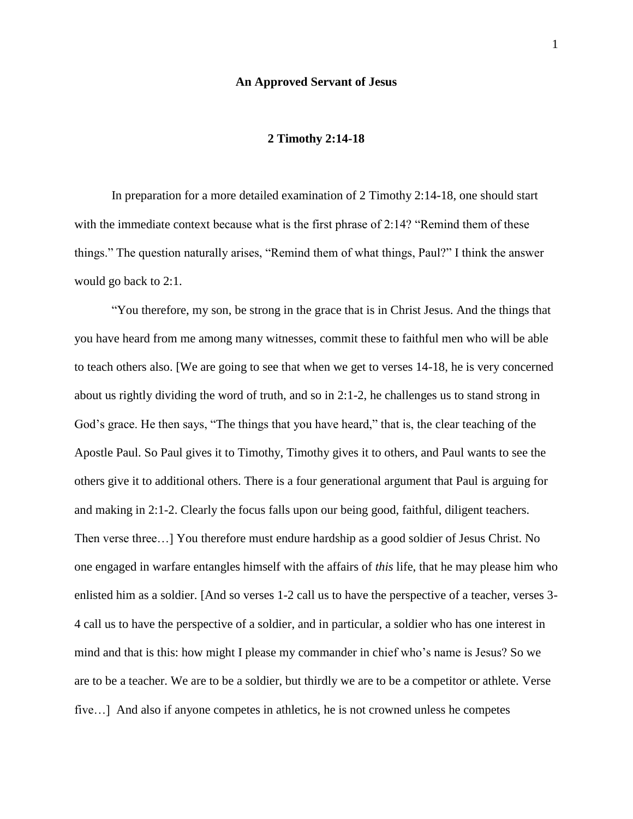#### **An Approved Servant of Jesus**

### **2 Timothy 2:14-18**

In preparation for a more detailed examination of 2 Timothy 2:14-18, one should start with the immediate context because what is the first phrase of 2:14? "Remind them of these things." The question naturally arises, "Remind them of what things, Paul?" I think the answer would go back to 2:1.

"You therefore, my son, be strong in the grace that is in Christ Jesus. And the things that you have heard from me among many witnesses, commit these to faithful men who will be able to teach others also. [We are going to see that when we get to verses 14-18, he is very concerned about us rightly dividing the word of truth, and so in 2:1-2, he challenges us to stand strong in God's grace. He then says, "The things that you have heard," that is, the clear teaching of the Apostle Paul. So Paul gives it to Timothy, Timothy gives it to others, and Paul wants to see the others give it to additional others. There is a four generational argument that Paul is arguing for and making in 2:1-2. Clearly the focus falls upon our being good, faithful, diligent teachers. Then verse three…] You therefore must endure hardship as a good soldier of Jesus Christ. No one engaged in warfare entangles himself with the affairs of *this* life, that he may please him who enlisted him as a soldier. [And so verses 1-2 call us to have the perspective of a teacher, verses 3- 4 call us to have the perspective of a soldier, and in particular, a soldier who has one interest in mind and that is this: how might I please my commander in chief who's name is Jesus? So we are to be a teacher. We are to be a soldier, but thirdly we are to be a competitor or athlete. Verse five…] And also if anyone competes in athletics, he is not crowned unless he competes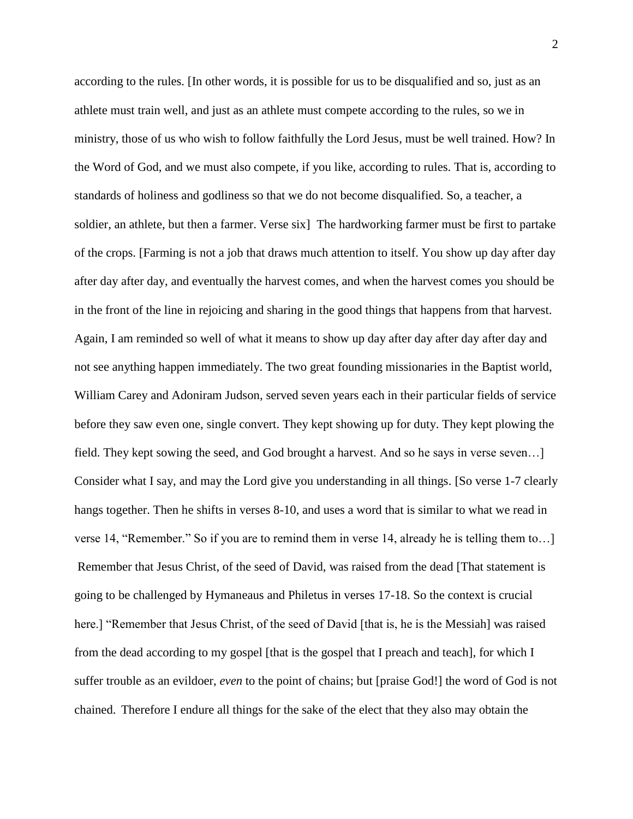according to the rules. [In other words, it is possible for us to be disqualified and so, just as an athlete must train well, and just as an athlete must compete according to the rules, so we in ministry, those of us who wish to follow faithfully the Lord Jesus, must be well trained. How? In the Word of God, and we must also compete, if you like, according to rules. That is, according to standards of holiness and godliness so that we do not become disqualified. So, a teacher, a soldier, an athlete, but then a farmer. Verse six] The hardworking farmer must be first to partake of the crops. [Farming is not a job that draws much attention to itself. You show up day after day after day after day, and eventually the harvest comes, and when the harvest comes you should be in the front of the line in rejoicing and sharing in the good things that happens from that harvest. Again, I am reminded so well of what it means to show up day after day after day after day and not see anything happen immediately. The two great founding missionaries in the Baptist world, William Carey and Adoniram Judson, served seven years each in their particular fields of service before they saw even one, single convert. They kept showing up for duty. They kept plowing the field. They kept sowing the seed, and God brought a harvest. And so he says in verse seven…] Consider what I say, and may the Lord give you understanding in all things. [So verse 1-7 clearly hangs together. Then he shifts in verses 8-10, and uses a word that is similar to what we read in verse 14, "Remember." So if you are to remind them in verse 14, already he is telling them to…] Remember that Jesus Christ, of the seed of David, was raised from the dead [That statement is going to be challenged by Hymaneaus and Philetus in verses 17-18. So the context is crucial here.] "Remember that Jesus Christ, of the seed of David [that is, he is the Messiah] was raised from the dead according to my gospel [that is the gospel that I preach and teach], for which I suffer trouble as an evildoer, *even* to the point of chains; but [praise God!] the word of God is not chained. Therefore I endure all things for the sake of the elect that they also may obtain the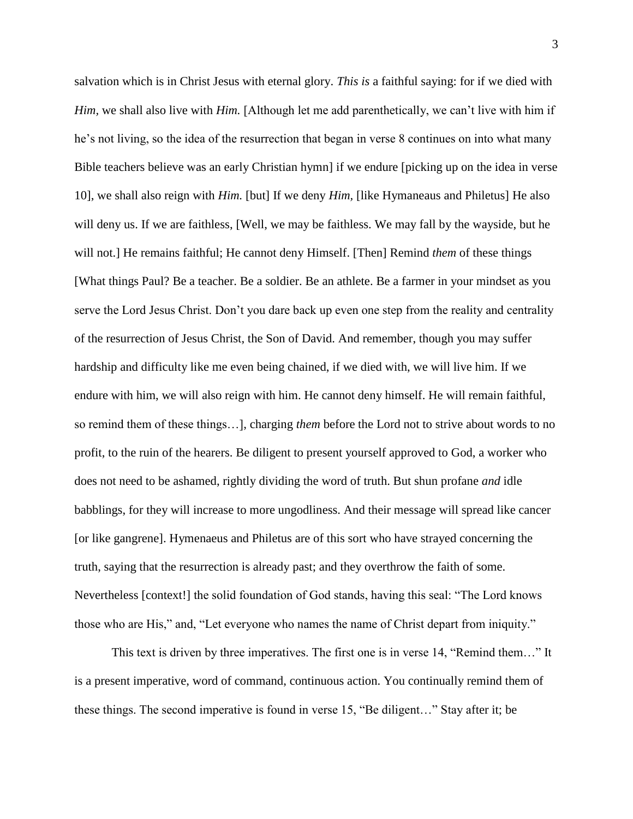salvation which is in Christ Jesus with eternal glory. *This is* a faithful saying: for if we died with *Him*, we shall also live with *Him*. [Although let me add parenthetically, we can't live with him if he's not living, so the idea of the resurrection that began in verse 8 continues on into what many Bible teachers believe was an early Christian hymn] if we endure [picking up on the idea in verse 10], we shall also reign with *Him.* [but] If we deny *Him,* [like Hymaneaus and Philetus] He also will deny us. If we are faithless, [Well, we may be faithless. We may fall by the wayside, but he will not.] He remains faithful; He cannot deny Himself. [Then] Remind *them* of these things [What things Paul? Be a teacher. Be a soldier. Be an athlete. Be a farmer in your mindset as you serve the Lord Jesus Christ. Don't you dare back up even one step from the reality and centrality of the resurrection of Jesus Christ, the Son of David. And remember, though you may suffer hardship and difficulty like me even being chained, if we died with, we will live him. If we endure with him, we will also reign with him. He cannot deny himself. He will remain faithful, so remind them of these things…], charging *them* before the Lord not to strive about words to no profit, to the ruin of the hearers. Be diligent to present yourself approved to God, a worker who does not need to be ashamed, rightly dividing the word of truth. But shun profane *and* idle babblings, for they will increase to more ungodliness. And their message will spread like cancer [or like gangrene]. Hymenaeus and Philetus are of this sort who have strayed concerning the truth, saying that the resurrection is already past; and they overthrow the faith of some. Nevertheless [context!] the solid foundation of God stands, having this seal: "The Lord knows those who are His," and, "Let everyone who names the name of Christ depart from iniquity."

This text is driven by three imperatives. The first one is in verse 14, "Remind them…" It is a present imperative, word of command, continuous action. You continually remind them of these things. The second imperative is found in verse 15, "Be diligent…" Stay after it; be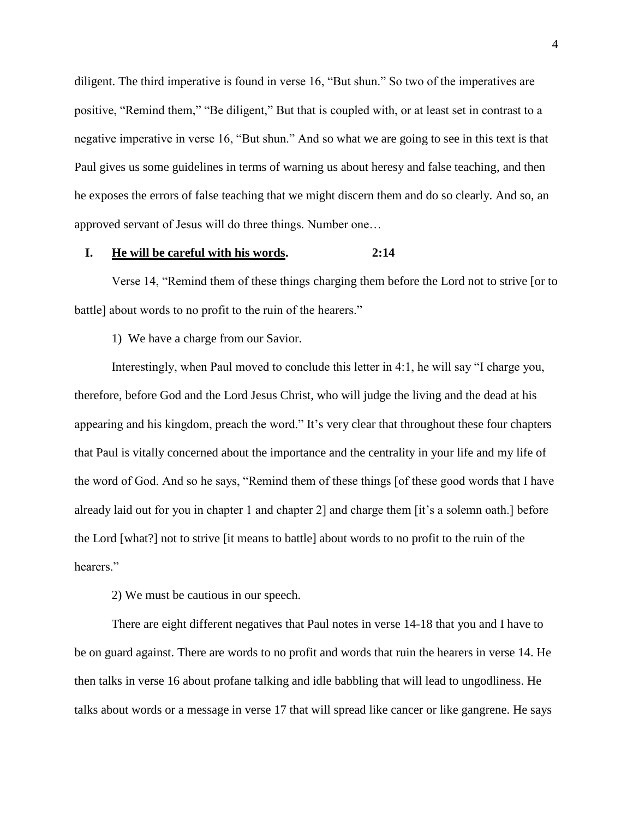diligent. The third imperative is found in verse 16, "But shun." So two of the imperatives are positive, "Remind them," "Be diligent," But that is coupled with, or at least set in contrast to a negative imperative in verse 16, "But shun." And so what we are going to see in this text is that Paul gives us some guidelines in terms of warning us about heresy and false teaching, and then he exposes the errors of false teaching that we might discern them and do so clearly. And so, an approved servant of Jesus will do three things. Number one…

### **I. He will be careful with his words. 2:14**

Verse 14, "Remind them of these things charging them before the Lord not to strive [or to battle] about words to no profit to the ruin of the hearers."

1) We have a charge from our Savior.

Interestingly, when Paul moved to conclude this letter in 4:1, he will say "I charge you, therefore, before God and the Lord Jesus Christ, who will judge the living and the dead at his appearing and his kingdom, preach the word." It's very clear that throughout these four chapters that Paul is vitally concerned about the importance and the centrality in your life and my life of the word of God. And so he says, "Remind them of these things [of these good words that I have already laid out for you in chapter 1 and chapter 2] and charge them [it's a solemn oath.] before the Lord [what?] not to strive [it means to battle] about words to no profit to the ruin of the hearers<sup>"</sup>

2) We must be cautious in our speech.

There are eight different negatives that Paul notes in verse 14-18 that you and I have to be on guard against. There are words to no profit and words that ruin the hearers in verse 14. He then talks in verse 16 about profane talking and idle babbling that will lead to ungodliness. He talks about words or a message in verse 17 that will spread like cancer or like gangrene. He says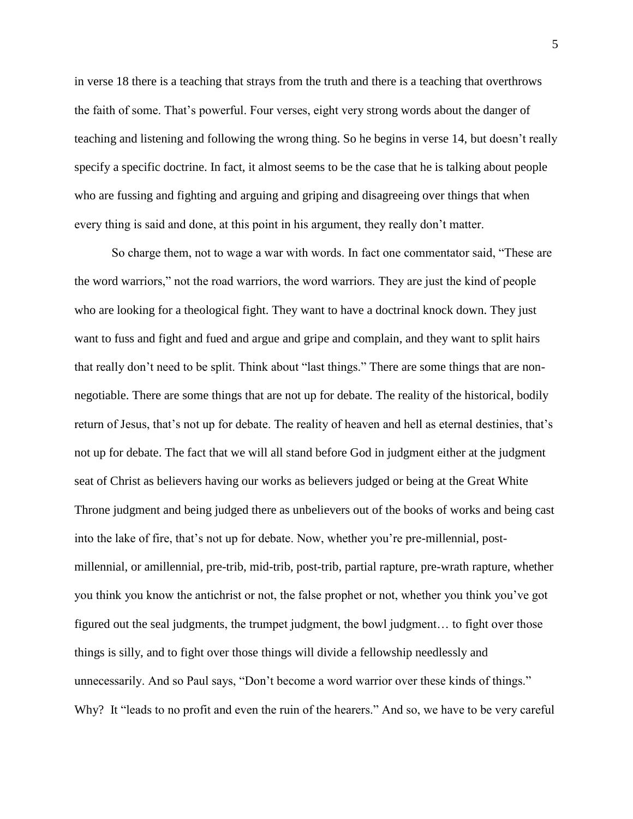in verse 18 there is a teaching that strays from the truth and there is a teaching that overthrows the faith of some. That's powerful. Four verses, eight very strong words about the danger of teaching and listening and following the wrong thing. So he begins in verse 14, but doesn't really specify a specific doctrine. In fact, it almost seems to be the case that he is talking about people who are fussing and fighting and arguing and griping and disagreeing over things that when every thing is said and done, at this point in his argument, they really don't matter.

So charge them, not to wage a war with words. In fact one commentator said, "These are the word warriors," not the road warriors, the word warriors. They are just the kind of people who are looking for a theological fight. They want to have a doctrinal knock down. They just want to fuss and fight and fued and argue and gripe and complain, and they want to split hairs that really don't need to be split. Think about "last things." There are some things that are nonnegotiable. There are some things that are not up for debate. The reality of the historical, bodily return of Jesus, that's not up for debate. The reality of heaven and hell as eternal destinies, that's not up for debate. The fact that we will all stand before God in judgment either at the judgment seat of Christ as believers having our works as believers judged or being at the Great White Throne judgment and being judged there as unbelievers out of the books of works and being cast into the lake of fire, that's not up for debate. Now, whether you're pre-millennial, postmillennial, or amillennial, pre-trib, mid-trib, post-trib, partial rapture, pre-wrath rapture, whether you think you know the antichrist or not, the false prophet or not, whether you think you've got figured out the seal judgments, the trumpet judgment, the bowl judgment… to fight over those things is silly, and to fight over those things will divide a fellowship needlessly and unnecessarily. And so Paul says, "Don't become a word warrior over these kinds of things." Why? It "leads to no profit and even the ruin of the hearers." And so, we have to be very careful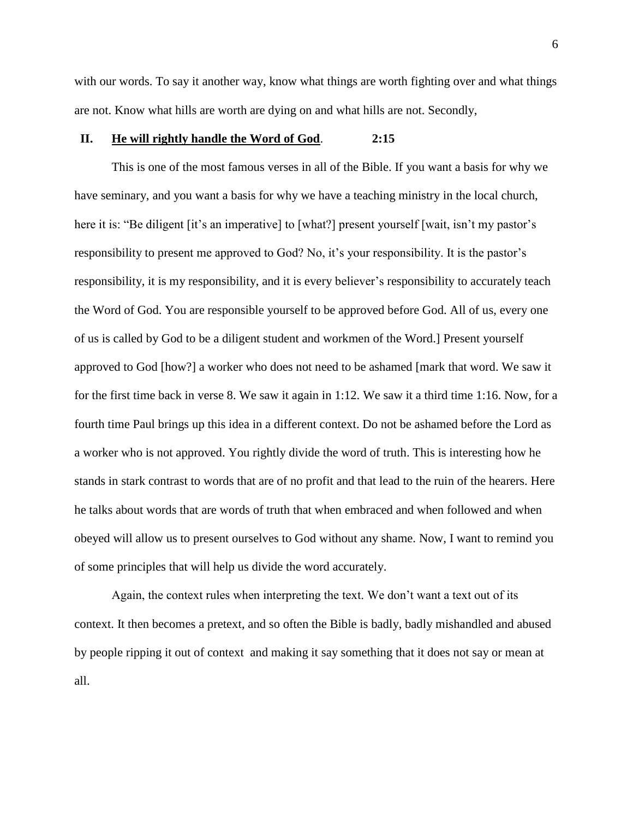with our words. To say it another way, know what things are worth fighting over and what things are not. Know what hills are worth are dying on and what hills are not. Secondly,

# **II. He will rightly handle the Word of God**. **2:15**

This is one of the most famous verses in all of the Bible. If you want a basis for why we have seminary, and you want a basis for why we have a teaching ministry in the local church, here it is: "Be diligent [it's an imperative] to [what?] present yourself [wait, isn't my pastor's responsibility to present me approved to God? No, it's your responsibility. It is the pastor's responsibility, it is my responsibility, and it is every believer's responsibility to accurately teach the Word of God. You are responsible yourself to be approved before God. All of us, every one of us is called by God to be a diligent student and workmen of the Word.] Present yourself approved to God [how?] a worker who does not need to be ashamed [mark that word. We saw it for the first time back in verse 8. We saw it again in 1:12. We saw it a third time 1:16. Now, for a fourth time Paul brings up this idea in a different context. Do not be ashamed before the Lord as a worker who is not approved. You rightly divide the word of truth. This is interesting how he stands in stark contrast to words that are of no profit and that lead to the ruin of the hearers. Here he talks about words that are words of truth that when embraced and when followed and when obeyed will allow us to present ourselves to God without any shame. Now, I want to remind you of some principles that will help us divide the word accurately.

Again, the context rules when interpreting the text. We don't want a text out of its context. It then becomes a pretext, and so often the Bible is badly, badly mishandled and abused by people ripping it out of context and making it say something that it does not say or mean at all.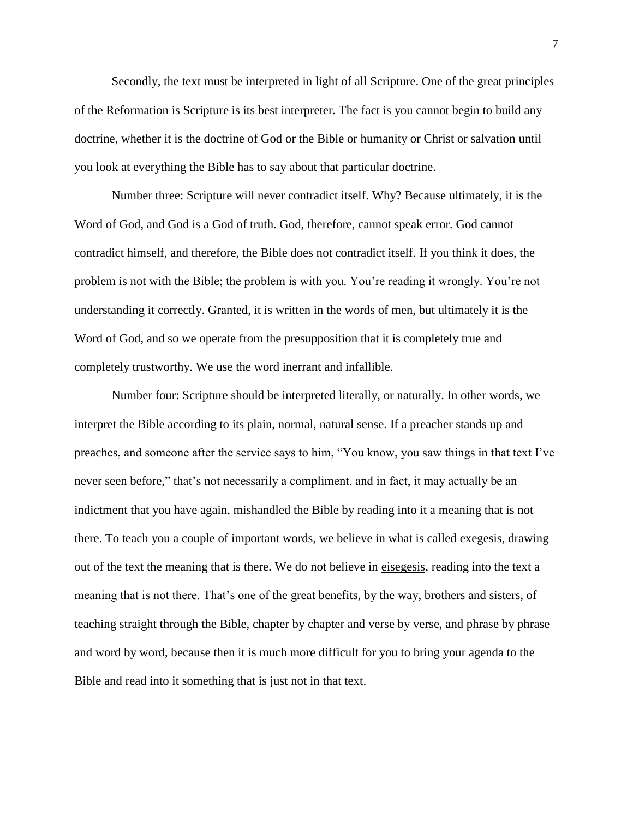Secondly, the text must be interpreted in light of all Scripture. One of the great principles of the Reformation is Scripture is its best interpreter. The fact is you cannot begin to build any doctrine, whether it is the doctrine of God or the Bible or humanity or Christ or salvation until you look at everything the Bible has to say about that particular doctrine.

Number three: Scripture will never contradict itself. Why? Because ultimately, it is the Word of God, and God is a God of truth. God, therefore, cannot speak error. God cannot contradict himself, and therefore, the Bible does not contradict itself. If you think it does, the problem is not with the Bible; the problem is with you. You're reading it wrongly. You're not understanding it correctly. Granted, it is written in the words of men, but ultimately it is the Word of God, and so we operate from the presupposition that it is completely true and completely trustworthy. We use the word inerrant and infallible.

Number four: Scripture should be interpreted literally, or naturally. In other words, we interpret the Bible according to its plain, normal, natural sense. If a preacher stands up and preaches, and someone after the service says to him, "You know, you saw things in that text I've never seen before," that's not necessarily a compliment, and in fact, it may actually be an indictment that you have again, mishandled the Bible by reading into it a meaning that is not there. To teach you a couple of important words, we believe in what is called exegesis, drawing out of the text the meaning that is there. We do not believe in eisegesis, reading into the text a meaning that is not there. That's one of the great benefits, by the way, brothers and sisters, of teaching straight through the Bible, chapter by chapter and verse by verse, and phrase by phrase and word by word, because then it is much more difficult for you to bring your agenda to the Bible and read into it something that is just not in that text.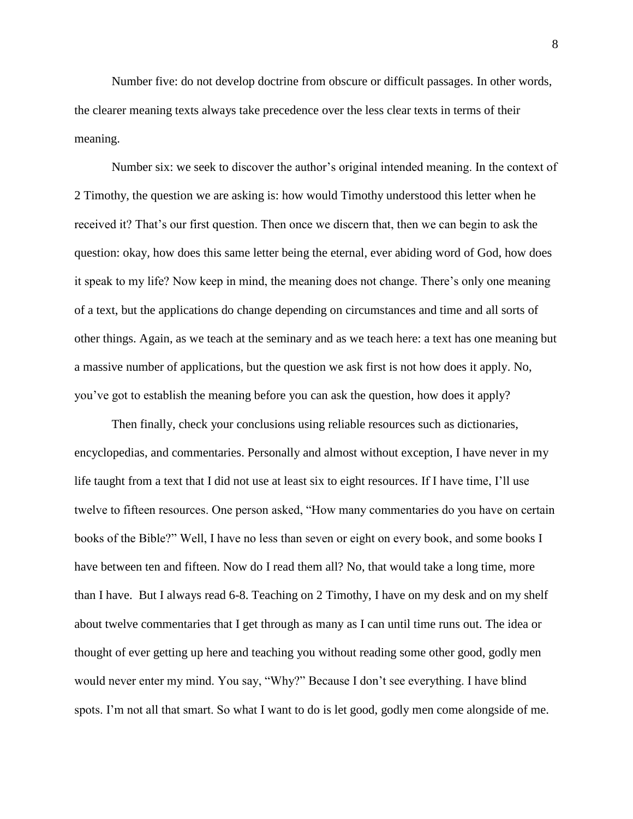Number five: do not develop doctrine from obscure or difficult passages. In other words, the clearer meaning texts always take precedence over the less clear texts in terms of their meaning.

Number six: we seek to discover the author's original intended meaning. In the context of 2 Timothy, the question we are asking is: how would Timothy understood this letter when he received it? That's our first question. Then once we discern that, then we can begin to ask the question: okay, how does this same letter being the eternal, ever abiding word of God, how does it speak to my life? Now keep in mind, the meaning does not change. There's only one meaning of a text, but the applications do change depending on circumstances and time and all sorts of other things. Again, as we teach at the seminary and as we teach here: a text has one meaning but a massive number of applications, but the question we ask first is not how does it apply. No, you've got to establish the meaning before you can ask the question, how does it apply?

Then finally, check your conclusions using reliable resources such as dictionaries, encyclopedias, and commentaries. Personally and almost without exception, I have never in my life taught from a text that I did not use at least six to eight resources. If I have time, I'll use twelve to fifteen resources. One person asked, "How many commentaries do you have on certain books of the Bible?" Well, I have no less than seven or eight on every book, and some books I have between ten and fifteen. Now do I read them all? No, that would take a long time, more than I have. But I always read 6-8. Teaching on 2 Timothy, I have on my desk and on my shelf about twelve commentaries that I get through as many as I can until time runs out. The idea or thought of ever getting up here and teaching you without reading some other good, godly men would never enter my mind. You say, "Why?" Because I don't see everything. I have blind spots. I'm not all that smart. So what I want to do is let good, godly men come alongside of me.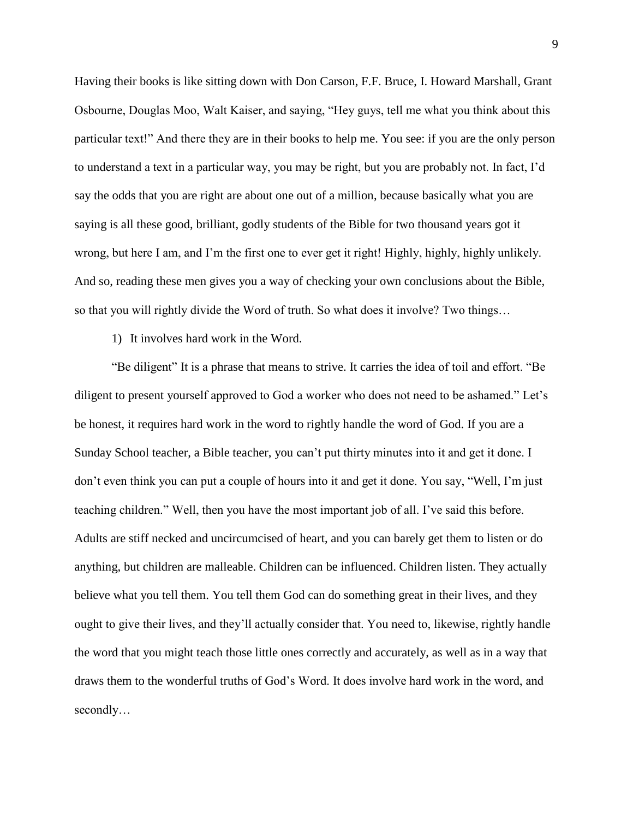Having their books is like sitting down with Don Carson, F.F. Bruce, I. Howard Marshall, Grant Osbourne, Douglas Moo, Walt Kaiser, and saying, "Hey guys, tell me what you think about this particular text!" And there they are in their books to help me. You see: if you are the only person to understand a text in a particular way, you may be right, but you are probably not. In fact, I'd say the odds that you are right are about one out of a million, because basically what you are saying is all these good, brilliant, godly students of the Bible for two thousand years got it wrong, but here I am, and I'm the first one to ever get it right! Highly, highly, highly unlikely. And so, reading these men gives you a way of checking your own conclusions about the Bible, so that you will rightly divide the Word of truth. So what does it involve? Two things…

1) It involves hard work in the Word.

"Be diligent" It is a phrase that means to strive. It carries the idea of toil and effort. "Be diligent to present yourself approved to God a worker who does not need to be ashamed." Let's be honest, it requires hard work in the word to rightly handle the word of God. If you are a Sunday School teacher, a Bible teacher, you can't put thirty minutes into it and get it done. I don't even think you can put a couple of hours into it and get it done. You say, "Well, I'm just teaching children." Well, then you have the most important job of all. I've said this before. Adults are stiff necked and uncircumcised of heart, and you can barely get them to listen or do anything, but children are malleable. Children can be influenced. Children listen. They actually believe what you tell them. You tell them God can do something great in their lives, and they ought to give their lives, and they'll actually consider that. You need to, likewise, rightly handle the word that you might teach those little ones correctly and accurately, as well as in a way that draws them to the wonderful truths of God's Word. It does involve hard work in the word, and secondly…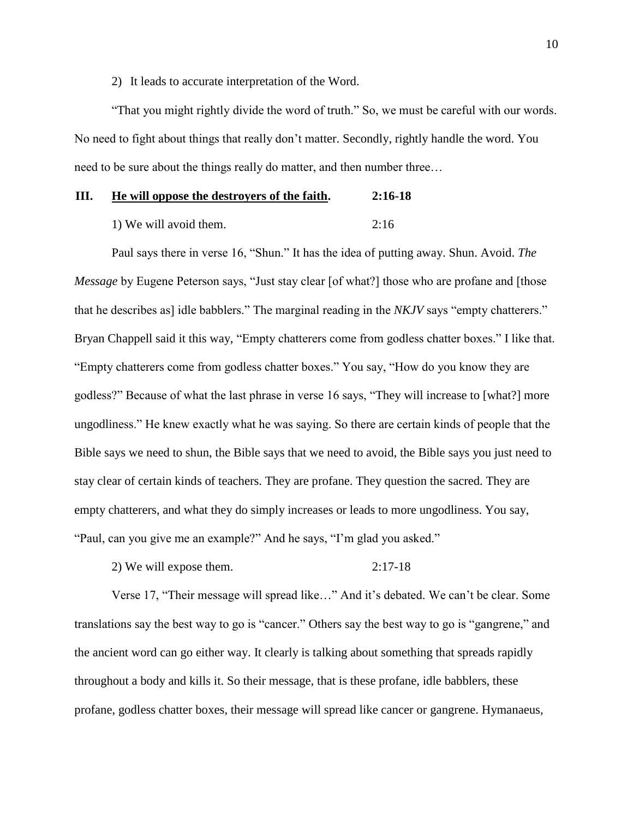2) It leads to accurate interpretation of the Word.

"That you might rightly divide the word of truth." So, we must be careful with our words. No need to fight about things that really don't matter. Secondly, rightly handle the word. You need to be sure about the things really do matter, and then number three…

## **III. He will oppose the destroyers of the faith. 2:16-18**

1) We will avoid them. 2:16

Paul says there in verse 16, "Shun." It has the idea of putting away. Shun. Avoid. *The Message* by Eugene Peterson says, "Just stay clear [of what?] those who are profane and [those that he describes as] idle babblers." The marginal reading in the *NKJV* says "empty chatterers." Bryan Chappell said it this way, "Empty chatterers come from godless chatter boxes." I like that. "Empty chatterers come from godless chatter boxes." You say, "How do you know they are godless?" Because of what the last phrase in verse 16 says, "They will increase to [what?] more ungodliness." He knew exactly what he was saying. So there are certain kinds of people that the Bible says we need to shun, the Bible says that we need to avoid, the Bible says you just need to stay clear of certain kinds of teachers. They are profane. They question the sacred. They are empty chatterers, and what they do simply increases or leads to more ungodliness. You say, "Paul, can you give me an example?" And he says, "I'm glad you asked."

2) We will expose them. 2:17-18

Verse 17, "Their message will spread like…" And it's debated. We can't be clear. Some translations say the best way to go is "cancer." Others say the best way to go is "gangrene," and the ancient word can go either way. It clearly is talking about something that spreads rapidly throughout a body and kills it. So their message, that is these profane, idle babblers, these profane, godless chatter boxes, their message will spread like cancer or gangrene. Hymanaeus,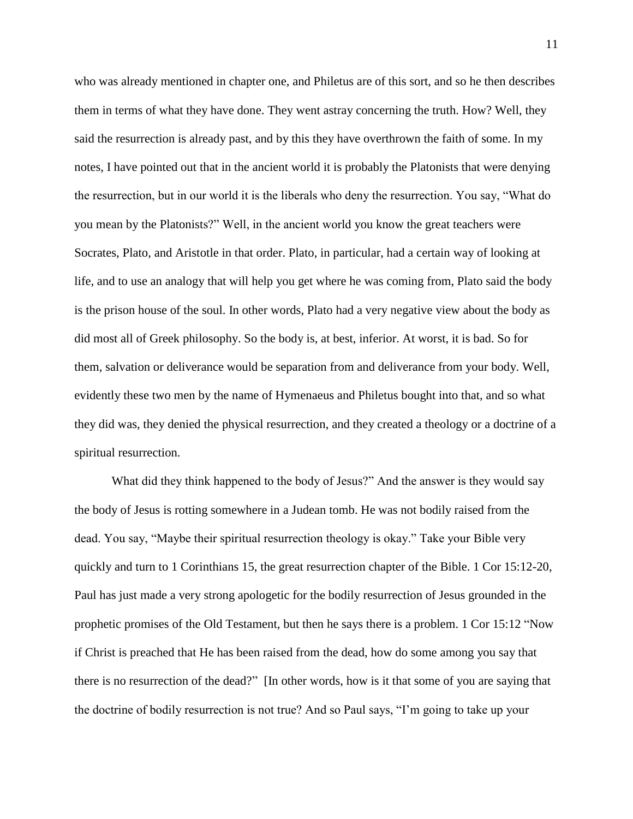who was already mentioned in chapter one, and Philetus are of this sort, and so he then describes them in terms of what they have done. They went astray concerning the truth. How? Well, they said the resurrection is already past, and by this they have overthrown the faith of some. In my notes, I have pointed out that in the ancient world it is probably the Platonists that were denying the resurrection, but in our world it is the liberals who deny the resurrection. You say, "What do you mean by the Platonists?" Well, in the ancient world you know the great teachers were Socrates, Plato, and Aristotle in that order. Plato, in particular, had a certain way of looking at life, and to use an analogy that will help you get where he was coming from, Plato said the body is the prison house of the soul. In other words, Plato had a very negative view about the body as did most all of Greek philosophy. So the body is, at best, inferior. At worst, it is bad. So for them, salvation or deliverance would be separation from and deliverance from your body. Well, evidently these two men by the name of Hymenaeus and Philetus bought into that, and so what they did was, they denied the physical resurrection, and they created a theology or a doctrine of a spiritual resurrection.

What did they think happened to the body of Jesus?" And the answer is they would say the body of Jesus is rotting somewhere in a Judean tomb. He was not bodily raised from the dead. You say, "Maybe their spiritual resurrection theology is okay." Take your Bible very quickly and turn to 1 Corinthians 15, the great resurrection chapter of the Bible. 1 Cor 15:12-20, Paul has just made a very strong apologetic for the bodily resurrection of Jesus grounded in the prophetic promises of the Old Testament, but then he says there is a problem. 1 Cor 15:12 "Now if Christ is preached that He has been raised from the dead, how do some among you say that there is no resurrection of the dead?" [In other words, how is it that some of you are saying that the doctrine of bodily resurrection is not true? And so Paul says, "I'm going to take up your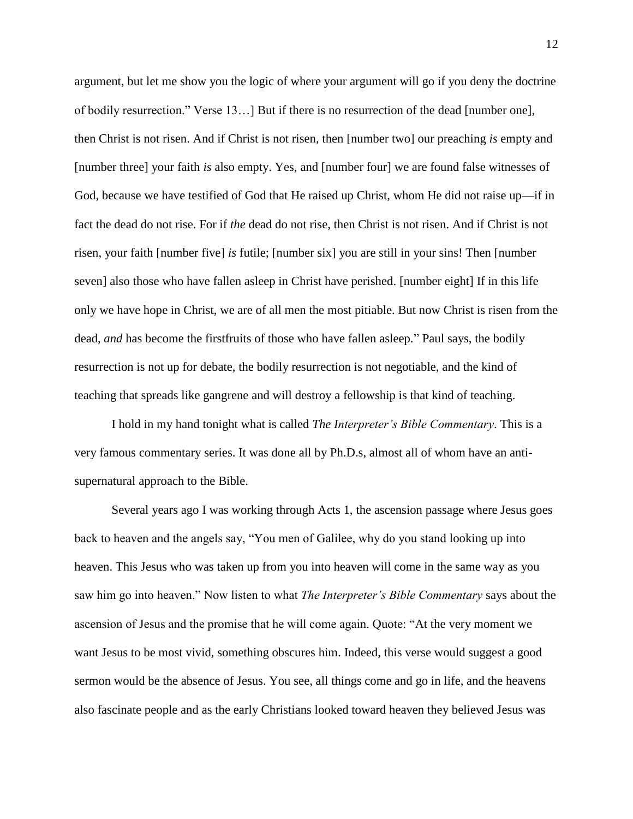argument, but let me show you the logic of where your argument will go if you deny the doctrine of bodily resurrection." Verse 13…] But if there is no resurrection of the dead [number one], then Christ is not risen. And if Christ is not risen, then [number two] our preaching *is* empty and [number three] your faith *is* also empty. Yes, and [number four] we are found false witnesses of God, because we have testified of God that He raised up Christ, whom He did not raise up—if in fact the dead do not rise. For if *the* dead do not rise, then Christ is not risen. And if Christ is not risen, your faith [number five] *is* futile; [number six] you are still in your sins! Then [number seven] also those who have fallen asleep in Christ have perished. [number eight] If in this life only we have hope in Christ, we are of all men the most pitiable. But now Christ is risen from the dead, *and* has become the firstfruits of those who have fallen asleep." Paul says, the bodily resurrection is not up for debate, the bodily resurrection is not negotiable, and the kind of teaching that spreads like gangrene and will destroy a fellowship is that kind of teaching.

I hold in my hand tonight what is called *The Interpreter's Bible Commentary*. This is a very famous commentary series. It was done all by Ph.D.s, almost all of whom have an antisupernatural approach to the Bible.

Several years ago I was working through Acts 1, the ascension passage where Jesus goes back to heaven and the angels say, "You men of Galilee, why do you stand looking up into heaven. This Jesus who was taken up from you into heaven will come in the same way as you saw him go into heaven." Now listen to what *The Interpreter's Bible Commentary* says about the ascension of Jesus and the promise that he will come again. Quote: "At the very moment we want Jesus to be most vivid, something obscures him. Indeed, this verse would suggest a good sermon would be the absence of Jesus. You see, all things come and go in life, and the heavens also fascinate people and as the early Christians looked toward heaven they believed Jesus was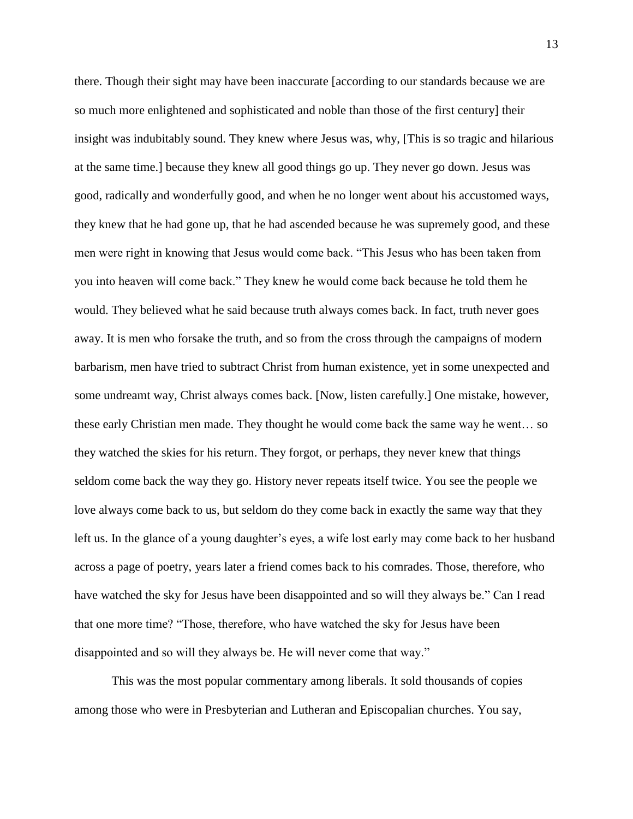there. Though their sight may have been inaccurate [according to our standards because we are so much more enlightened and sophisticated and noble than those of the first century] their insight was indubitably sound. They knew where Jesus was, why, [This is so tragic and hilarious at the same time.] because they knew all good things go up. They never go down. Jesus was good, radically and wonderfully good, and when he no longer went about his accustomed ways, they knew that he had gone up, that he had ascended because he was supremely good, and these men were right in knowing that Jesus would come back. "This Jesus who has been taken from you into heaven will come back." They knew he would come back because he told them he would. They believed what he said because truth always comes back. In fact, truth never goes away. It is men who forsake the truth, and so from the cross through the campaigns of modern barbarism, men have tried to subtract Christ from human existence, yet in some unexpected and some undreamt way, Christ always comes back. [Now, listen carefully.] One mistake, however, these early Christian men made. They thought he would come back the same way he went… so they watched the skies for his return. They forgot, or perhaps, they never knew that things seldom come back the way they go. History never repeats itself twice. You see the people we love always come back to us, but seldom do they come back in exactly the same way that they left us. In the glance of a young daughter's eyes, a wife lost early may come back to her husband across a page of poetry, years later a friend comes back to his comrades. Those, therefore, who have watched the sky for Jesus have been disappointed and so will they always be." Can I read that one more time? "Those, therefore, who have watched the sky for Jesus have been disappointed and so will they always be. He will never come that way."

This was the most popular commentary among liberals. It sold thousands of copies among those who were in Presbyterian and Lutheran and Episcopalian churches. You say,